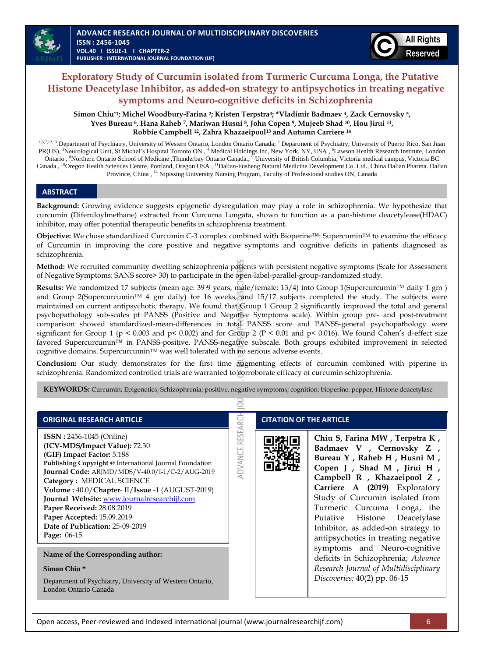

# **Exploratory Study of Curcumin isolated from Turmeric Curcuma Longa, the Putative Histone Deacetylase Inhibitor, as added-on strategy to antipsychotics in treating negative symptoms and Neuro-cognitive deficits in Schizophrenia**

**Simon Chiu\*1; Michel Woodbury-Farina 2; Kristen Terpstra3; \*Vladimir Badmaev 4, Zack Cernovsky 5, Yves Bureau 6, Hana Raheb 7, Mariwan Husni 8, John Copen 9, Mujeeb Shad 10, Hou Jirui 11, Robbie Campbell 12, Zahra Khazaeipool<sup>13</sup> and Autumn Carriere <sup>14</sup>**

1,5,7,12,13. Department of Psychiatry, University of Western Ontario, London Ontario Canada; <sup>2</sup> Department of Psychiatry, University of Puerto Rico, San Juan PR(US), <sup>3</sup>Neurological Unit, St Michel's Hospital Toronto ON, <sup>4</sup> Medical Holdings Inc, New York, NY, USA, <sup>6</sup>Lawson Health Research Institute, London Ontario, <sup>8</sup>Northern Ontario School of Medicine, Thunderbay Ontario Canada., <sup>9</sup> University of British Columbia, Victoria medical campus, Victoria BC Canada, <sup>10</sup>Oregon Health Sciences Centre, Portland, Oregon USA, <sup>11</sup>Dalian-Fusheng Natural Medicine Development Co. Ltd., China Dalian Pharma. Dalian Province, China, <sup>14</sup> Nipissing University Nursing Program, Faculty of Professional studies ON, Canada

### **ABSTRACT**

**Background:** Growing evidence suggests epigenetic dysregulation may play a role in schizophrenia. We hypothesize that curcumin (Diferuloylmethane) extracted from Curcuma Longata, shown to function as a pan-histone deacetylease(HDAC) inhibitor, may offer potential therapeutic benefits in schizophrenia treatment.

**Objective:** We chose standardized Curcumin C-3 complex combined with Bioperine™: SupercuminTM to examine the efficacy of Curcumin in improving the core positive and negative symptoms and cognitive deficits in patients diagnosed as schizophrenia.

**Method:** We recruited community dwelling schizophrenia patients with persistent negative symptoms (Scale for Assessment of Negative Symptoms: SANS score> 30) to participate in the open-label-parallel-group-randomized study.

**Results:** We randomized 17 subjects (mean age: 39 9 years, male/female: 13/4) into Group 1(Supercurcumin™ daily 1 gm) and Group 2(Supercurcumin<sup>TM</sup> 4 gm daily) for 16 weeks, and 15/17 subjects completed the study. The subjects were maintained on current antipsychotic therapy. We found that Group 1 Group 2 significantly improved the total and general psychopathology sub-scales pf PANSS (Positive and Negative Symptoms scale). Within group pre- and post-treatment comparison showed standardized-mean-differences in total PANSS score and PANSS-general psychopathology were significant for Group 1 (p < 0.003 and p< 0.002) and for Group 2 (P < 0.01 and p< 0.016). We found Cohen's d-effect size favored Supercurcumin™ in PANSS-positive, PANSS-negative subscale. Both groups exhibited improvement in selected cognitive domains. Supercurcumin™ was well tolerated with no serious adverse events.

**Conclusion:** Our study demonstrates for the first time augmenting effects of curcumin combined with piperine in schizophrenia. Randomized controlled trials are warranted to corroborate efficacy of curcumin schizophrenia.

**KEYWORDS:** Curcumin; Epigenetics; Schizophrenia; positive, negative symptoms; cognition; bioperine: pepper; Histone deacetylase ō

**RESEARCH** 

**ADVANCE** 

### **ORIGINAL RESEARCH ARTICLE**

**ISSN :** 2456-1045 (Online) **(ICV-MDS/Impact Value):** 72.30 **(GIF) Impact Factor:** 5.188 **Publishing Copyright @** International Journal Foundation **Journal Code:** ARJMD/MDS/V-40.0/I-1/C-2/AUG-2019 **Category :** MEDICAL SCIENCE **Volume :** 40.0/**Chapter**- II/**Issue** -1 (AUGUST-2019) **Journal Website:** [www.journalresearchijf.com](http://www.journalresearchijf.com/) **Paper Received:** 28.08.2019 **Paper Accepted:** 15.09.2019 **Date of Publication:** 25-09-2019 **Page:** 06-15

**Name of the Corresponding author:**

### **Simon Chiu \***

Department of Psychiatry, University of Western Ontario, London Ontario Canada

## **CITATION OF THE ARTICLE**



**Chiu S, Farina MW , Terpstra K , Badmaev V , Cernovsky Z , Bureau Y , Raheb H , Husni M , Copen J , Shad M , Jirui H , Campbell R , Khazaeipool Z , Carriere A (2019)** Exploratory Study of Curcumin isolated from Turmeric Curcuma Longa, the Putative Histone Deacetylase Inhibitor, as added-on strategy to antipsychotics in treating negative symptoms and Neuro-cognitive deficits in Schizophrenia; *Advance Research Journal of Multidisciplinary Discoveries;* 40(2) pp. 06-15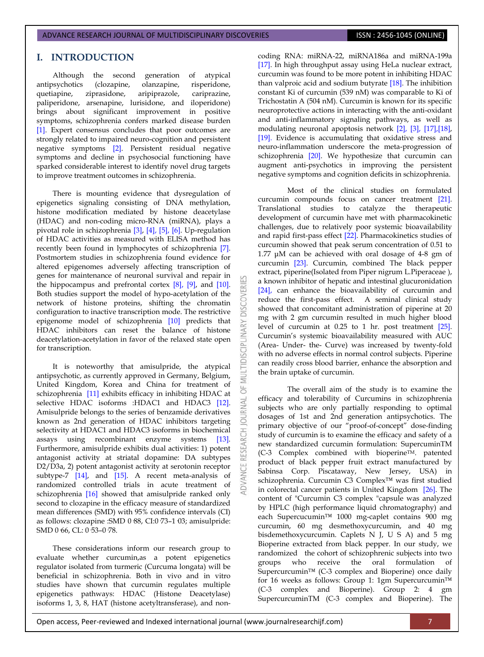# **I. INTRODUCTION**

Although the second generation of atypical antipsychotics (clozapine, olanzapine, risperidone, quetiapine, ziprasidone, aripiprazole, cariprazine, paliperidone, arsenapine, lurisidone, and iloperidone) brings about significant improvement in positive symptoms, schizophrenia confers marked disease burden [\[1\].](#page-6-0) Expert consensus concludes that poor outcomes are strongly related to impaired neuro-cognition and persistent negative symptoms [\[2\].](#page-6-1) Persistent residual negative symptoms and decline in psychosocial functioning have sparked considerable interest to identify novel drug targets to improve treatment outcomes in schizophrenia.

There is mounting evidence that dysregulation of epigenetics signaling consisting of DNA methylation, histone modification mediated by histone deacetylase (HDAC) and non-coding micro-RNA (miRNA), plays a pivotal role in schizophrenia [\[3\],](#page-6-2) [\[4\],](#page-6-3) [\[5\],](#page-6-4) [\[6\].](#page-6-5) Up-regulation of HDAC activities as measured with ELISA method has recently been found in lymphocytes of schizophrenia [\[7\].](#page-7-0)  Postmortem studies in schizophrenia found evidence for altered epigenomes adversely affecting transcription of genes for maintenance of neuronal survival and repair in the hippocampus and prefrontal cortex [\[8\],](#page-7-1) [\[9\],](#page-7-2) and [\[10\].](#page-7-3)  Both studies support the model of hypo-acetylation of the network of histone proteins, shifting the chromatin configuration to inactive transcription mode. The restrictive epigenome model of schizophrenia [\[10\]](#page-7-3) predicts that HDAC inhibitors can reset the balance of histone deacetylation-acetylation in favor of the relaxed state open for transcription.

**DISCOVERI** 

5F

 $\overline{0}$ 

It is noteworthy that amisulpride, the atypical antipsychotic, as currently approved in Germany, Belgium, United Kingdom, Korea and China for treatment of schizophrenia [\[11\]](#page-7-4) exhibits efficacy in inhibiting HDAC at selective HDAC isoforms :HDAC1 and HDAC3 [12]. Amisulpride belongs to the series of benzamide derivatives known as 2nd generation of HDAC inhibitors targeting selectivity at HDAC1 and HDAC3 isoforms in biochemical assays using recombinant enzyme systems [\[13\].](#page-7-6)  Furthermore, amisulpride exhibits dual activities: 1) potent antagonist activity at striatal dopamine: DA subtypes D2/D3a, 2) potent antagonist activity at serotonin receptor subtype-7 [\[14\],](#page-7-7) and [\[15\].](#page-7-8) A recent meta-analysis of randomized controlled trials in acute treatment of schizophrenia [\[16\]](#page-7-9) showed that amisulpride ranked only second to clozapine in the efficacy measure of standardized mean differences (SMD) with 95% confidence intervals (CI) as follows: clozapine :SMD 0 88, CI:0 73-1 03; amisulpride: SMD 0 66, CL: 0 53-0 78.

These considerations inform our research group to evaluate whether curcumin,as a potent epigenetics regulator isolated from turmeric (Curcuma longata) will be beneficial in schizophrenia. Both in vivo and in vitro studies have shown that curcumin regulates multiple epigenetics pathways: HDAC (Histone Deacetylase) isoforms 1, 3, 8, HAT (histone acetyltransferase), and noncoding RNA: miRNA-22, miRNA186a and miRNA-199a [\[17\].](#page-7-10) In high throughput assay using HeLa nuclear extract, curcumin was found to be more potent in inhibiting HDAC than valproic acid and sodium butyrate [\[18\].](#page-7-11) The inhibition constant Ki of curcumin (539 nM) was comparable to Ki of Trichostatin A (504 nM). Curcumin is known for its specific neuroprotective actions in interacting with the anti-oxidant and anti-inflammatory signaling pathways, as well as modulating neuronal apoptosis network [\[2\],](#page-6-1) [\[3\],](#page-6-2) [\[17\],](#page-7-10)[\[18\],](#page-7-11)  [\[19\].](#page-7-12) Evidence is accumulating that oxidative stress and neuro-inflammation underscore the meta-progression of schizophrenia [\[20\].](#page-7-13) We hypothesize that curcumin can augment anti-psychotics in improving the persistent negative symptoms and cognition deficits in schizophrenia.

Most of the clinical studies on formulated curcumin compounds focus on cancer treatment [\[21\].](#page-7-14)  Translational studies to catalyze the therapeutic development of curcumin have met with pharmacokinetic challenges, due to relatively poor systemic bioavailability and rapid first-pass effect [\[22\].](#page-7-15) Pharmacokinetics studies of curcumin showed that peak serum concentration of 0.51 to 1.77 μM can be achieved with oral dosage of 4-8 gm of curcumin [\[23\].](#page-7-16) Curcumin, combined The black pepper extract, piperine(Isolated from Piper nigrum L.Piperaceae ), a known inhibitor of hepatic and intestinal glucuronidation [\[24\],](#page-7-17) can enhance the bioavailability of curcumin and reduce the first-pass effect. A seminal clinical study showed that concomitant administration of piperine at 20 mg with 2 gm curcumin resulted in much higher blood level of curcumin at 0.25 to 1 hr. post treatment [\[25\].](#page-7-18)  Curcumin's systemic bioavailability measured with AUC (Area- Under- the- Curve) was increased by twenty-fold with no adverse effects in normal control subjects. Piperine can readily cross blood barrier, enhance the absorption and the brain uptake of curcumin.

The overall aim of the study is to examine the efficacy and tolerability of Curcumins in schizophrenia subjects who are only partially responding to optimal dosages of 1st and 2nd generation antipsychotics. The primary objective of our "proof-of-concept" dose-finding study of curcumin is to examine the efficacy and safety of a new standardized curcumin formulation: SupercuminTM (C-3 Complex combined with bioperineTM. patented product of black pepper fruit extract manufactured by Sabinsa Corp. Piscataway, New Jersey, USA) in schizophrenia. Curcumin C3 Complex™ was first studied in colorectal cancer patients in United Kingdom [\[26\].](#page-7-19) The content of "Curcumin C3 complex "capsule was analyzed by HPLC (high performance liquid chromatography) and each Supercucumin™ 1000 mg-caplet contains 900 mg curcumin, 60 mg desmethoxycurcumin, and 40 mg bisdemethoxycurcumin. Caplets N J, U S A) and 5 mg Bioperine extracted from black pepper. In our study, we randomized the cohort of schizophrenic subjects into two groups who receive the oral formulation of Supercurcumin™ (C-3 complex and Bioperine) once daily for 16 weeks as follows: Group 1: 1gm Supercurcumin™ (C-3 complex and Bioperine). Group 2: 4 gm SupercurcuminTM (C-3 complex and Bioperine). The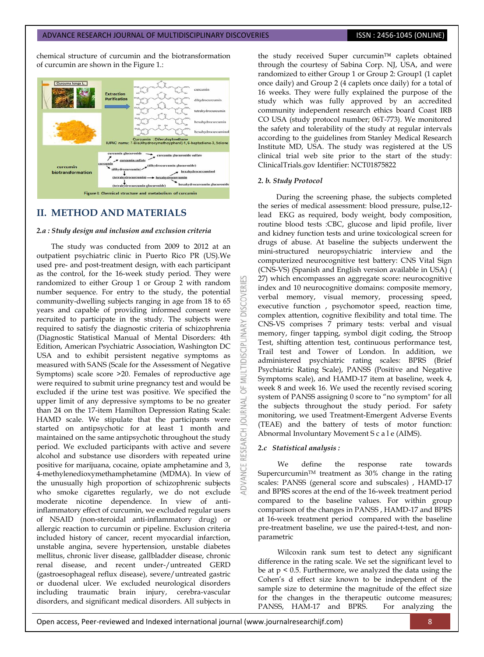chemical structure of curcumin and the biotransformation of curcumin are shown in the Figure 1.:



# **II. METHOD AND MATERIALS**

### *2.a : Study design and inclusion and exclusion criteria*

The study was conducted from 2009 to 2012 at an outpatient psychiatric clinic in Puerto Rico PR (US).We used pre- and post-treatment design, with each participant as the control, for the 16-week study period. They were randomized to either Group 1 or Group 2 with random number sequence. For entry to the study, the potential community-dwelling subjects ranging in age from 18 to 65 years and capable of providing informed consent were recruited to participate in the study. The subjects were required to satisfy the diagnostic criteria of schizophrenia (Diagnostic Statistical Manual of Mental Disorders: 4th Edition, American Psychiatric Association, Washington DC USA and to exhibit persistent negative symptoms as measured with SANS (Scale for the Assessment of Negative Symptoms) scale score >20. Females of reproductive age were required to submit urine pregnancy test and would be excluded if the urine test was positive. We specified the upper limit of any depressive symptoms to be no greater than 24 on the 17-item Hamilton Depression Rating Scale: HAMD scale. We stipulate that the participants were started on antipsychotic for at least 1 month and maintained on the same antipsychotic throughout the study period. We excluded participants with active and severe alcohol and substance use disorders with repeated urine positive for marijuana, cocaine, opiate amphetamine and 3, 4-methylenedioxymethamphetamine (MDMA). In view of the unusually high proportion of schizophrenic subjects who smoke cigarettes regularly, we do not exclude moderate nicotine dependence. In view of antiinflammatory effect of curcumin, we excluded regular users of NSAID (non-steroidal anti-inflammatory drug) or allergic reaction to curcumin or pipeline. Exclusion criteria included history of cancer, recent myocardial infarction, unstable angina, severe hypertension, unstable diabetes mellitus, chronic liver disease, gallbladder disease, chronic renal disease, and recent under-/untreated GERD (gastroesophageal reflux disease), severe/untreated gastric or duodenal ulcer. We excluded neurological disorders including traumatic brain injury, cerebra-vascular disorders, and significant medical disorders. All subjects in

the study received Super curcumin™ caplets obtained through the courtesy of Sabina Corp. NJ, USA, and were randomized to either Group 1 or Group 2: Group1 (1 caplet once daily) and Group 2 (4 caplets once daily) for a total of 16 weeks. They were fully explained the purpose of the study which was fully approved by an accredited community independent research ethics board Coast IRB CO USA (study protocol number; 06T-773). We monitored the safety and tolerability of the study at regular intervals according to the guidelines from Stanley Medical Research Institute MD, USA. The study was registered at the US clinical trial web site prior to the start of the study: ClinicalTrials.gov Identifier: NCT01875822

### *2. b. Study Protocol*

CVERI

**DISCIPL** 

5

**B** 

During the screening phase, the subjects completed the series of medical assessment: blood pressure, pulse,12 lead EKG as required, body weight, body composition, routine blood tests :CBC, glucose and lipid profile, liver and kidney function tests and urine toxicological screen for drugs of abuse. At baseline the subjects underwent the mini-structured neuropsychiatric interview and the computerized neurocognitive test battery: CNS Vital Sign (CNS-VS) (Spanish and English version available in USA) ( 27) which encompasses an aggregate score: neurocognitive index and 10 neurocognitive domains: composite memory, verbal memory, visual memory, processing speed, executive function , psychomotor speed, reaction time, complex attention, cognitive flexibility and total time. The CNS-VS comprises 7 primary tests: verbal and visual memory, finger tapping, symbol digit coding, the Stroop Test, shifting attention test, continuous performance test, Trail test and Tower of London. In addition, we administered psychiatric rating scales: BPRS (Brief Psychiatric Rating Scale), PANSS (Positive and Negative Symptoms scale), and HAMD-17 item at baseline, week 4, week 8 and week 16. We used the recently revised scoring system of PANSS assigning 0 score to "no symptom" for all the subjects throughout the study period. For safety monitoring, we used Treatment-Emergent Adverse Events (TEAE) and the battery of tests of motor function: Abnormal Involuntary Movement S c a l e (AIMS).

### *2.c Statistical analysis :*

We define the response rate towards SupercurcuminTM treatment as 30% change in the rating scales: PANSS (general score and subscales) , HAMD-17 and BPRS scores at the end of the 16-week treatment period compared to the baseline values. For within group comparison of the changes in PANSS , HAMD-17 and BPRS at 16-week treatment period compared with the baseline pre-treatment baseline, we use the paired-t-test, and nonparametric

Wilcoxin rank sum test to detect any significant difference in the rating scale. We set the significant level to be at  $p < 0.5$ . Furthermore, we analyzed the data using the Cohen's d effect size known to be independent of the sample size to determine the magnitude of the effect size for the changes in the therapeutic outcome measures; PANSS, HAM-17 and BPRS. For analyzing the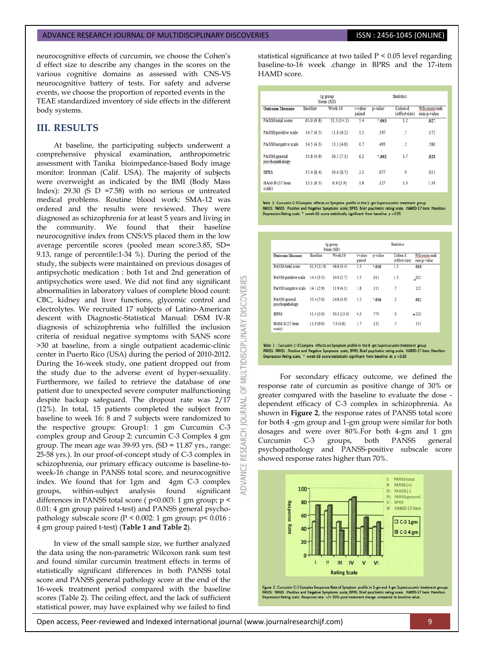neurocognitive effects of curcumin, we choose the Cohen's d effect size to describe any changes in the scores on the various cognitive domains as assessed with CNS-VS neurocognitive battery of tests. For safety and adverse events, we choose the proportion of reported events in the TEAE standardized inventory of side effects in the different body systems.

# **III. RESULTS**

At baseline, the participating subjects underwent a comprehensive physical examination, anthropometric assessment with Tanika bioimpedance-based Body image monitor: Ironman (Calif. USA). The majority of subjects were overweight as indicated by the BMI (Body Mass Index): 29.30 (S D = 7.58) with no serious or untreated medical problems. Routine blood work: SMA-12 was ordered and the results were reviewed. They were diagnosed as schizophrenia for at least 5 years and living in the community. We found that their baseline neurocognitive index from CNS:VS placed them in the low average percentile scores (pooled mean score:3.85, SD= 9.13, range of percentile:1-34 %). During the period of the study, the subjects were maintained on previous dosages of antipsychotic medication : both 1st and 2nd generation of antipsychotics were used. We did not find any significant abnormalities in laboratory values of complete blood count: CBC, kidney and liver functions, glycemic control and electrolytes. We recruited 17 subjects of Latino-American descent with Diagnostic-Statistical Manual: DSM IV-R diagnosis of schizophrenia who fulfilled the inclusion criteria of residual negative symptoms with SANS score >30 at baseline, from a single outpatient academic-clinic center in Puerto Rico (USA) during the period of 2010-2012. During the 16-week study, one patient dropped out from the study due to the adverse event of hyper-sexuality. Furthermore, we failed to retrieve the database of one patient due to unexpected severe computer malfunctioning despite backup safeguard. The dropout rate was 2/17 (12%). In total, 15 patients completed the subject from baseline to week 16: 8 and 7 subjects were randomized to the respective groups: Group1: 1 gm Curcumin C-3 complex group and Group 2: curcumin C-3 Complex 4 gm group. The mean age was  $39-93$  yrs. (SD = 11.87 yrs., range: 25-58 yrs.). In our proof-of-concept study of C-3 complex in schizophrenia, our primary efficacy outcome is baseline-toweek-16 change in PANSS total score, and neurocognitive index. We found that for 1gm and 4gm C-3 complex groups, within-subject analysis found significant differences in PANSS total score (  $p$ <0.003: 1 gm group;  $p$  < 0.01: 4 gm group paired t-test) and PANSS general psychopathology subscale score ( $P < 0.002$ : 1 gm group;  $p < 0.016$ : 4 gm group paired t-test) (**Table 1 and Table 2**).

In view of the small sample size, we further analyzed the data using the non-parametric Wilcoxon rank sum test and found similar curcumin treatment effects in terms of statistically significant differences in both PANSS total score and PANSS general pathology score at the end of the 16-week treatment period compared with the baseline scores (Table 2). The ceiling effect, and the lack of sufficient statistical power, may have explained why we failed to find

statistical significance at two tailed P < 0.05 level regarding baseline-to-16 week .change in BPRS and the 17-item HAMD score.

|                                  |                 | 1g group<br>Mean (SD) |                   |         | <b>Statistics</b>        |                              |
|----------------------------------|-----------------|-----------------------|-------------------|---------|--------------------------|------------------------------|
| <b>Outcome Measure</b>           | <b>Baseline</b> | Week 16               | t-value<br>paired | p-value | Cohen d<br>(effect size) | Wilcoxon rank<br>sum p-value |
| <b>PANSS</b> total score         | 65.0(9.8)       | 51.5(14.5)            | 5.4               | $*003$  | 1.2                      | .027                         |
| PANSS positive scale             | 14.7(4.5)       | 11.8(4.2)             | 1.5               | .197    | $\overline{J}$           | .172                         |
| PANSS negative scale             | 14.5(4.3)       | 13.3(4.6)             | 0.7               | .493    | $\mathbf{3}$             | .586                         |
| PANSS general<br>psychopathology | 35.8(4.9)       | 26.3(7.1)             | 6.2               | $*002$  | 1.7                      | .028                         |
| <b>BPRS</b>                      | 37.4(8.4)       | 30.6(8.7)             | 2.1               | .077    | 9                        | .051                         |
| HAM-D (17 item<br>scale)         | 13.1(9.3)       | 6.9(3.9)              | 1.8               | .127    | 1.0                      | 1.38                         |

Table 1: Curcumin C-3 Complex effects on Symptom profile in the 1-gm Supercucumin treatment group<br>PANSS: PANSS : Positive and Negative Symptoms scale; BPRS: Brief psychiatric rating scale. HAMD-17 item: H<br>Depression Rating

|                                  |                 | 4g group<br>Mean (SD) |                   |         | <b>Statistics</b>        |                              |
|----------------------------------|-----------------|-----------------------|-------------------|---------|--------------------------|------------------------------|
| <b>Outcome Measure</b>           | <b>Baseline</b> | Week 16               | t-value<br>paired | p-value | Cohen d<br>(effect size) | Wilcoxon rank<br>sum p-value |
| <b>PANSS</b> total score         | 61.9(11.9)      | 46.6(9.4)             | 3.5               | $*010$  | 1.5                      | .018                         |
| PANSS positive scale             | 14.4(3.5)       | 10.0(2.7)             | 3.5               | .011    | 1.5                      | 2021                         |
| PANSS negative scale             | 14.1(2.9)       | 11.9(4.1)             | 1.8               | .111    | $\cdot$                  | .121                         |
| PANSS general<br>psychopathology | 33.4(7.0)       | 24.8(4.9)             | 3.2               | $*016$  | $\cdot$                  | .012                         |
| <b>BPRS</b>                      | 31.4(5.0)       | 30.3 (13.0)           | 0.3               | .770    | $\cdot$ <sub>3</sub>     | $-232$                       |
| HAM-D (17 item<br>scale)         | 11.9(9.0)       | 7.0(4.6)              | 1.7               | .132    | $\cdot$                  | .115                         |

**DISCOVERI** 

MULTIDISCIPLINARY

5 **JRNAL**  $\overline{0}$ 

Table 2 : Curcumin C-3 Complex effects on Symptom profile in the 4-gm Supercucumin treatment group<br>PANSS: PANSS : Positive and Negative Symptoms scale; BPRS: Brief psychiatric rating scale. HAMD-17 item: Hamilton Depression Rating scale. \* week-16 score statistically significant from baseline at p < 0.05

For secondary efficacy outcome, we defined the response rate of curcumin as positive change of 30% or greater compared with the baseline to evaluate the dose dependent efficacy of C-3 complex in schizophrenia. As shown in **Figure 2**, the response rates of PANSS total score for both 4 -gm group and 1-gm group were similar for both dosages and were over 80%.For both 4-gm and 1 gm Curcumin C-3 groups, both PANSS general psychopathology and PANSS-positive subscale score showed response rates higher than 70%.



Figure 2 : Curcumin C-3 Complex Response Rate of Symptom profile in 1-gm and 4-gm Supercucumin treatment groups<br>PANSS: PANSS : Positive and Negative Symptoms scale; BPRS: Brief psychiatric rating scale. HAMD-17 item: Hamil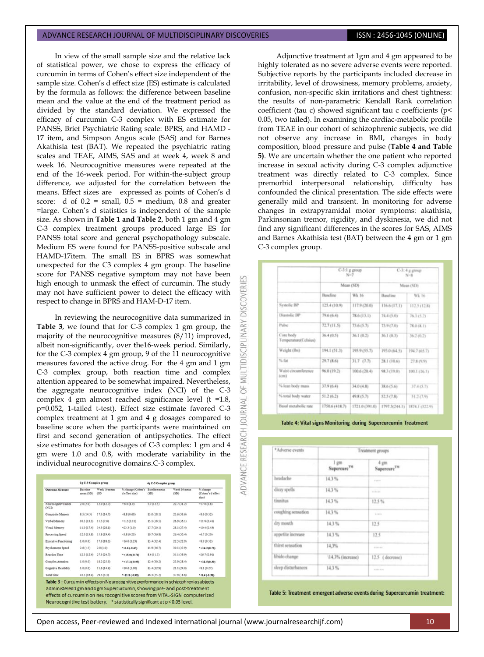In view of the small sample size and the relative lack of statistical power, we chose to express the efficacy of curcumin in terms of Cohen's effect size independent of the sample size. Cohen's d effect size (ES) estimate is calculated by the formula as follows: the difference between baseline mean and the value at the end of the treatment period as divided by the standard deviation. We expressed the efficacy of curcumin C-3 complex with ES estimate for PANSS, Brief Psychiatric Rating scale: BPRS, and HAMD - 17 item, and Simpson Angus scale (SAS) and for Barnes Akathisia test (BAT). We repeated the psychiatric rating scales and TEAE, AIMS, SAS and at week 4, week 8 and week 16. Neurocognitive measures were repeated at the end of the 16-week period. For within-the-subject group difference, we adjusted for the correlation between the means. Effect sizes are expressed as points of Cohen's d score: d of  $0.2$  = small,  $0.5$  = medium, 0.8 and greater =large. Cohen's d statistics is independent of the sample size. As shown in **Table 1 and Table 2**, both 1 gm and 4 gm C-3 complex treatment groups produced large ES for PANSS total score and general psychopathology subscale. Medium ES were found for PANSS-positive subscale and HAMD-17item. The small ES in BPRS was somewhat unexpected for the C3 complex 4 gm group. The baseline score for PANSS negative symptom may not have been high enough to unmask the effect of curcumin. The study may not have sufficient power to detect the efficacy with respect to change in BPRS and HAM-D-17 item.

In reviewing the neurocognitive data summarized in **Table 3**, we found that for C-3 complex 1 gm group, the majority of the neurocognitive measures (8/11) improved, albeit non-significantly, over the16-week period. Similarly, for the C-3 complex 4 gm group, 9 of the 11 neurocognitive measures favored the active drug. For the 4 gm and 1 gm C-3 complex group, both reaction time and complex attention appeared to be somewhat impaired. Nevertheless, the aggregate neurocognitive index (NCI) of the C-3 complex 4 gm almost reached significance level (t =1.8, p=0.052, 1-tailed t-test). Effect size estimate favored C-3 complex treatment at 1 gm and 4 g dosages compared to baseline score when the participants were maintained on first and second generation of antipsychotics. The effect size estimates for both dosages of C-3 complex: 1 gm and 4 gm were 1.0 and 0.8, with moderate variability in the individual neurocognitive domains.C-3 complex.

| <b>Outcome Measure</b>        | Baseline<br>mean (SD) | Week 16 mean<br>(SD) | % change (Cohen's<br>d effect size) | Baseline mean<br>(SD) | Week 16 mean<br>(SD) | % change<br>(Cohen's deffect<br>size) |
|-------------------------------|-----------------------|----------------------|-------------------------------------|-----------------------|----------------------|---------------------------------------|
| Neurocognitive Index<br>(NCD) | 2.0(2.0)              | 12.0(12.7)           | $= 6.0(1.0)$                        | 5.7(12.5)             | 22.7 (31.2)          | $+17.0(0.8)$                          |
| Composite Memory              | \$5(14.3)             | 17.3(14.7)           | $-8.8(0.60)$                        | 15.0(18.1)            | 23.6(33.6)           | $-5.6(0.32)$                          |
| Verbal Memory                 | 10.3(13.3)            | 11.5(7.6)            | $-1.2(0.11)$                        | 15.1(18.5)            | 26.9 (36.1)          | $-11.8(0.41)$                         |
| Visual Memory                 | 11.0(17.4)            | 34.3 (28.1)          | $+23.3(1.0)$                        | 17.7(20.1)            | 28.1(27.4)           | $+10.4(0.43)$                         |
| Processing Speed              | 12.0(13.8)            | 15.8(19.4)           | $-3.8(0.23)$                        | 19.7 (36.8)           | 26.4(30.4)           | $-6.7(0.20)$                          |
| <b>Executive Functioning</b>  | 1.0(0.0)              | 17.0(18.5)           | $-16.0(0.23)$                       | 13.4(32.4)            | 22.3 (22.9)          | $-8.9(0.32)$                          |
| Prychomotor Speed             | 2.6(1.5)              | 2.0(1.0)             | $-0.6(-0.47)$                       | 15.9 (36.7)           | 30.1 (37.9)          | $*+14.2(0.76)$                        |
| Reaction Time                 | 12.3(12.4)            | 27.3(24.7)           | $*+15.0(.0.76)$                     | 8.4(11.3)             | 35.1 (39.9)          | $-26.7(0.91)$                         |
| Complex Attention             | 1.0(0.0)              | 1\$.2 (25.5)         | $*+17.2(-0.95)$                     | 12.4 (30.2)           | 23.9(28.4)           | $-11.5(0.39)$                         |
| Cognitive Flexibility         | 1.0(0.0)              | 11.6(14.9)           | $-10.6(1.00)$                       | 13.4 (32.9)           | 21.1(24.0)           | $+8.1(0.27)$                          |
|                               | 41.3(16.4)            | 29.5(3.3)            | $-11.8(-0.99)$                      | 46.3 (25.2)           | 37.9 (18.8)          | $-3.4(0.38)$                          |

Adjunctive treatment at 1gm and 4 gm appeared to be highly tolerated as no severe adverse events were reported. Subjective reports by the participants included decrease in irritability, level of drowsiness, memory problems, anxiety, confusion, non-specific skin irritations and chest tightness: the results of non-parametric Kendall Rank correlation coefficient (tau c) showed significant tau c coefficients (p< 0.05, two tailed). In examining the cardiac-metabolic profile from TEAE in our cohort of schizophrenic subjects, we did not observe any increase in BMI, changes in body composition, blood pressure and pulse (**Table 4 and Table 5)**. We are uncertain whether the one patient who reported increase in sexual activity during C-3 complex adjunctive treatment was directly related to C-3 complex. Since premorbid interpersonal relationship, difficulty has confounded the clinical presentation. The side effects were generally mild and transient. In monitoring for adverse changes in extrapyramidal motor symptoms: akathisia, Parkinsonian tremor, rigidity, and dyskinesia, we did not find any significant differences in the scores for SAS, AIMS and Barnes Akathisia test (BAT) between the 4 gm or 1 gm C-3 complex group.

|                                    |                | $C-3:1$ g group<br>$N=7$ | $C-3$ : 4 g group<br>$N - R$ |                |  |
|------------------------------------|----------------|--------------------------|------------------------------|----------------|--|
|                                    | Mean (SD).     |                          | Mean (SD)                    |                |  |
|                                    | Baseline       | Wk 16                    | Baseline                     | Wk 16          |  |
| Systolic BP                        | 125.4 (10.9)   | 117.9 (20.0).            | 116.6 (17.1)                 | 112.5(12.8)    |  |
| Diastolic BP                       | 79.6 (6.4)     | 78.6 (13.1)              | 74.4 (5.0)                   | 76.3 (5.2)     |  |
| Pulse                              | 72.7 (11.5)    | 73.6 (5.7)               | 73.9 (7.0)                   | 78.0 (K.1)     |  |
| Core body<br>Temperature(Celsius). | 36.4 (0.5)     | 36.1 (0.2)               | 36.1 (0.3)                   | 36.2 (0.2)     |  |
| Weight (Ibs)                       | 194.1 (51.3)   | 195.9 (55.7).            | 193.0 (64.5)                 | 194.7 (65.7)   |  |
| % fat                              | 29.7 (8.6)     | 31.7 (7.7)               | 28.1 (10.6)                  | 27.8 (9.9)     |  |
| Waist circumference<br>$l$ cm3     | 96.0 (19.2)    | 100.6(20.4)              | 98.3 (19.0)                  | 100.1 (16.1)   |  |
| % Ican body mass                   | 37.9 (6.4)     | 34.0(4.8)                | 38.6 (5.6)                   | 37.4 (5.7).    |  |
| % total body water                 | 51.2(6.2)      | 49.8 (5.7)               | 52.5 (7.8)                   | 51.2 (7.9)     |  |
| Basal metabolic rate               | 1750.6 (418.7) | 1721.0 (391.0)           | 1797.5(244.1)                | 1874.1 (522.9) |  |

Table 4: Vital signs Monitoring during Supercurcumin Treatment

| *Adverse events    | Treatment groups                |                                 |  |  |
|--------------------|---------------------------------|---------------------------------|--|--|
| ×                  | 1 gm<br>Supercure <sup>TM</sup> | 4 gm<br>Supercure <sup>7M</sup> |  |  |
| headache           | 14.3%                           | <b>WE WIND</b>                  |  |  |
| dizzy spells       | 14.3%                           |                                 |  |  |
| tinnitus           | 14.3%                           | 12.5%                           |  |  |
| coughing sensation | 14.3%                           | <b>Allegea</b>                  |  |  |
| dry mouth          | 14.3%                           | 12.5                            |  |  |
| appetite increase  | 14.3%                           | 12.5                            |  |  |
| thirst sensation   | 14,3%                           | ------                          |  |  |
| libido change      | \14.3% (increase)               | 12.5 (decrease)                 |  |  |
| sleep disturbances | 14.3%                           | <b>ALLES &amp; DOWN</b>         |  |  |

Table 5: Treatment emergent adverse events during Supercurcumin treatment:

Open access, Peer-reviewed and Indexed international journal (www.journalresearchijf.com) 10

**DISCOVERI** 

LTIDISCIPLINARY

 $\geq$ 5F

**JAWAL** 

**ADVANCE RESEARCH**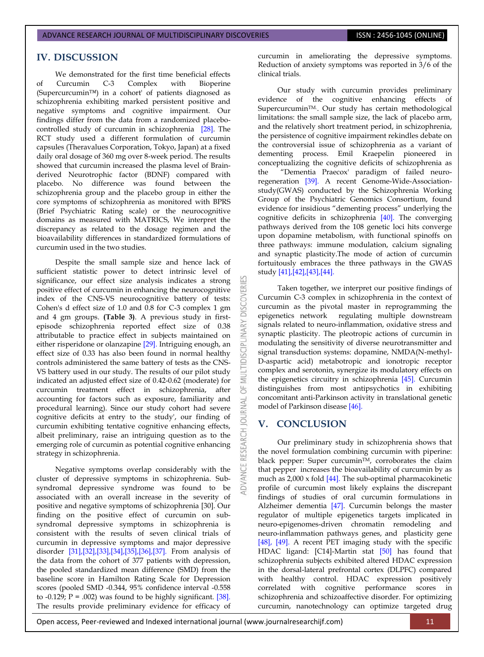### **IV. DISCUSSION**

We demonstrated for the first time beneficial effects of Curcumin C-3 Complex with Bioperine (Supercurcumin™) in a cohort' of patients diagnosed as schizophrenia exhibiting marked persistent positive and negative symptoms and cognitive impairment. Our findings differ from the data from a randomized placebocontrolled study of curcumin in schizophrenia [\[28\].](#page-7-20) The RCT study used a different formulation of curcumin capsules (Theravalues Corporation, Tokyo, Japan) at a fixed daily oral dosage of 360 mg over 8-week period. The results showed that curcumin increased the plasma level of Brainderived Neurotrophic factor (BDNF) compared with placebo. No difference was found between the schizophrenia group and the placebo group in either the core symptoms of schizophrenia as monitored with BPRS (Brief Psychiatric Rating scale) or the neurocognitive domains as measured with MATRICS, We interpret the discrepancy as related to the dosage regimen and the bioavailability differences in standardized formulations of curcumin used in the two studies.

Despite the small sample size and hence lack of sufficient statistic power to detect intrinsic level of significance, our effect size analysis indicates a strong positive effect of curcumin in enhancing the neurocognitive index of the CNS-VS neurocognitive battery of tests: Cohen's d effect size of 1.0 and 0.8 for C-3 complex 1 gm and 4 gm groups. **(Table 3)**. A previous study in firstepisode schizophrenia reported effect size of 0.38 attributable to practice effect in subjects maintained on either risperidone or olanzapine [\[29\].](#page-8-0) Intriguing enough, an effect size of 0.33 has also been found in normal healthy controls administered the same battery of tests as the CNS-VS battery used in our study. The results of our pilot study indicated an adjusted effect size of 0.42-0.62 (moderate) for curcumin treatment effect in schizophrenia, after accounting for factors such as exposure, familiarity and procedural learning). Since our study cohort had severe cognitive deficits at entry to the study', our finding of curcumin exhibiting tentative cognitive enhancing effects, albeit preliminary, raise an intriguing question as to the emerging role of curcumin as potential cognitive enhancing strategy in schizophrenia.

Negative symptoms overlap considerably with the cluster of depressive symptoms in schizophrenia. Subsyndromal depressive syndrome was found to be associated with an overall increase in the severity of positive and negative symptoms of schizophrenia [\[30\].](#page-8-1) Our finding on the positive effect of curcumin on subsyndromal depressive symptoms in schizophrenia is consistent with the results of seven clinical trials of curcumin in depressive symptoms and major depressive disorder [\[31\],](#page-8-2)[\[32\],](#page-8-3)[\[33\]](#page-8-4)[,\[34\]](#page-8-5)[,\[35\],](#page-8-6)[\[36\],](#page-8-7)[\[37\].](#page-8-8) From analysis of the data from the cohort of 377 patients with depression, the pooled standardized mean difference (SMD) from the baseline score in Hamilton Rating Scale for Depression scores (pooled SMD -0.344, 95% confidence interval -0.558 to -0.129;  $P = .002$ ) was found to be highly significant. [\[38\].](#page-8-9) The results provide preliminary evidence for efficacy of curcumin in ameliorating the depressive symptoms. Reduction of anxiety symptoms was reported in 3/6 of the clinical trials.

Our study with curcumin provides preliminary evidence of the cognitive enhancing effects of SupercurcuminTM.. Our study has certain methodological limitations: the small sample size, the lack of placebo arm, and the relatively short treatment period, in schizophrenia, the persistence of cognitive impairment rekindles debate on the controversial issue of schizophrenia as a variant of dementing process. Emil Kraepelin pioneered in conceptualizing the cognitive deficits of schizophrenia as the "Dementia Praecox' paradigm of failed neuroregeneration [\[39\].](#page-8-10) A recent Genome-Wide-Associationstudy(GWAS) conducted by the Schizophrenia Working Group of the Psychiatric Genomics Consortium, found evidence for insidious "dementing process" underlying the cognitive deficits in schizophrenia [\[40\].](#page-8-11) The converging pathways derived from the 108 genetic loci hits converge upon dopamine metabolism, with functional spinoffs on three pathways: immune modulation, calcium signaling and synaptic plasticity.The mode of action of curcumin fortuitously embraces the three pathways in the GWAS stud[y \[41\]](#page-8-12)[,\[42\],](#page-8-13)[\[43\],](#page-8-14)[\[44\].](#page-8-15)

Taken together, we interpret our positive findings of Curcumin C-3 complex in schizophrenia in the context of curcumin as the pivotal master in reprogramming the epigenetics network regulating multiple downstream signals related to neuro-inflammation, oxidative stress and synaptic plasticity. The pleotropic actions of curcumin in modulating the sensitivity of diverse neurotransmitter and signal transduction systems: dopamine, NMDA(N-methyl-D-aspartic acid) metabotropic and ionotropic receptor complex and serotonin, synergize its modulatory effects on the epigenetics circuitry in schizophrenia [\[45\].](#page-8-16) Curcumin distinguishes from most antipsychotics in exhibiting concomitant anti-Parkinson activity in translational genetic model of Parkinson diseas[e \[46\].](#page-8-17)

# **V. CONCLUSION**

**DISCOVERI** 

5 **IRNAL** a

> Our preliminary study in schizophrenia shows that the novel formulation combining curcumin with piperine: black pepper: Super curcumin<sup>TM</sup>, corroborates the claim that pepper increases the bioavailability of curcumin by as much as  $2,000 \times$  fold  $[44]$ . The sub-optimal pharmacokinetic profile of curcumin most likely explains the discrepant findings of studies of oral curcumin formulations in Alzheimer dementia [\[47\].](#page-8-18) Curcumin belongs the master regulator of multiple epigenetics targets implicated in neuro-epigenomes-driven chromatin remodeling and neuro-inflammation pathways genes, and plasticity gene [\[48\],](#page-9-0) [\[49\].](#page-9-1) A recent PET imaging study with the specific HDAC ligand: [C14]-Martin stat [\[50\]](#page-9-2) has found that schizophrenia subjects exhibited altered HDAC expression in the dorsal-lateral prefrontal cortex (DLPFC) compared with healthy control. HDAC expression positively correlated with cognitive performance scores in schizophrenia and schizoaffective disorder. For optimizing curcumin, nanotechnology can optimize targeted drug

Open access, Peer-reviewed and Indexed international journal (www.journalresearchijf.com) 11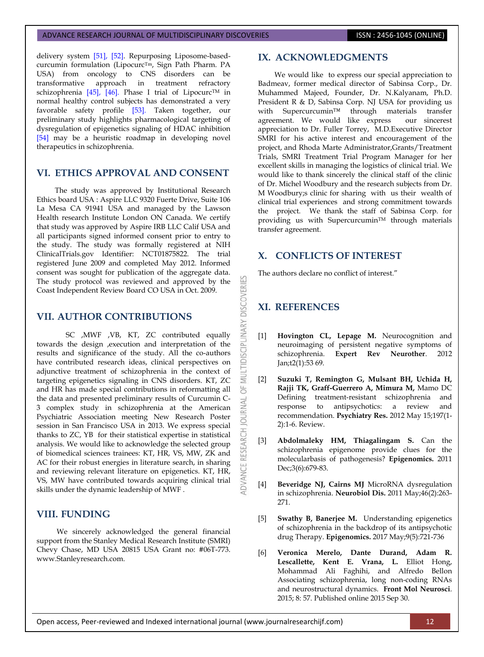delivery system [\[51\],](#page-9-3) [\[52\].](#page-9-4) Repurposing Liposome-basedcurcumin formulation (Lipocurc<sup>Tm</sup>, Sign Path Pharm. PA USA) from oncology to CNS disorders can be transformative approach in treatment refractory schizophrenia [\[45\],](#page-8-16) [\[46\].](#page-8-17) Phase I trial of Lipocurc™ in normal healthy control subjects has demonstrated a very favorable safety profile [\[53\].](#page-9-5) Taken together, our preliminary study highlights pharmacological targeting of dysregulation of epigenetics signaling of HDAC inhibition [\[54\]](#page-9-6) may be a heuristic roadmap in developing novel therapeutics in schizophrenia.

# **VI. ETHICS APPROVAL AND CONSENT**

The study was approved by Institutional Research Ethics board USA : Aspire LLC 9320 Fuerte Drive, Suite 106 La Mesa CA 91941 USA and managed by the Lawson Health research Institute London ON Canada. We certify that study was approved by Aspire IRB LLC Calif USA and all participants signed informed consent prior to entry to the study. The study was formally registered at NIH ClinicalTrials.gov Identifier: NCT01875822. The trial registered June 2009 and completed May 2012. Informed consent was sought for publication of the aggregate data. The study protocol was reviewed and approved by the Coast Independent Review Board CO USA in Oct. 2009.

# **VII. AUTHOR CONTRIBUTIONS**

SC ,MWF ,VB, KT, ZC contributed equally towards the design ,execution and interpretation of the results and significance of the study. All the co-authors have contributed research ideas, clinical perspectives on adjunctive treatment of schizophrenia in the context of targeting epigenetics signaling in CNS disorders. KT, ZC and HR has made special contributions in reformatting all the data and presented preliminary results of Curcumin C-3 complex study in schizophrenia at the American Psychiatric Association meeting New Research Poster session in San Francisco USA in 2013. We express special thanks to ZC, YB for their statistical expertise in statistical analysis. We would like to acknowledge the selected group of biomedical sciences trainees: KT, HR, VS, MW, ZK and AC for their robust energies in literature search, in sharing and reviewing relevant literature on epigenetics. KT, HR, VS, MW have contributed towards acquiring clinical trial skills under the dynamic leadership of MWF .

## **VIII. FUNDING**

 We sincerely acknowledged the general financial support from the Stanley Medical Research Institute (SMRI) Chevy Chase, MD USA 20815 USA Grant no: #06T-773. www.Stanleyresearch.com.

### **IX. ACKNOWLEDGMENTS**

 We would like to express our special appreciation to Badmeav, former medical director of Sabinsa Corp., Dr. Muhammed Majeed, Founder, Dr. N.Kalyanam, Ph.D. President R & D, Sabinsa Corp. NJ USA for providing us with Supercurcumin™ through materials transfer agreement. We would like express our sincerest appreciation to Dr. Fuller Torrey, M.D.Executive Director SMRI for his active interest and encouragement of the project, and Rhoda Marte Administrator,Grants/Treatment Trials, SMRI Treatment Trial Program Manager for her excellent skills in managing the logistics of clinical trial. We would like to thank sincerely the clinical staff of the clinic of Dr. Michel Woodbury and the research subjects from Dr. M Woodbury;s clinic for sharing with us their wealth of clinical trial experiences and strong commitment towards the project. We thank the staff of Sabinsa Corp. for providing us with Supercurcumin™ through materials transfer agreement.

## **X. CONFLICTS OF INTEREST**

The authors declare no conflict of interest."

# **XI. REFERENCES**

**DISCOVERI** 

**LTIDISCIPLINARY** 

≣ 5F

**JAN NOURNAL** 

**IDVANCE RESEARCH** 

- <span id="page-6-0"></span>[1] **Hovington CL, Lepage M.** Neurocognition and neuroimaging of persistent negative symptoms of schizophrenia. **Expert Rev Neurother**. 2012 Jan;t2(1):53 69.
- <span id="page-6-1"></span>[2] **Suzuki T, Remington G, Mulsant BH, Uchida H, Rajji TK, Graff-Guerrero A, Mimura M,** Mamo DC Defining treatment-resistant schizophrenia and response to antipsychotics: a review and recommendation. **Psychiatry Res.** 2012 May 15;197(1- 2):1-6. Review.
- <span id="page-6-2"></span>[3] **Abdolmaleky HM, Thiagalingam S.** Can the schizophrenia epigenome provide clues for the molecularbasis of pathogenesis? **Epigenomics.** 2011 Dec;3(6):679-83.
- <span id="page-6-3"></span>[4] **Beveridge NJ, Cairns MJ** MicroRNA dysregulation in schizophrenia. **Neurobiol Dis.** 2011 May;46(2):263- 271.
- <span id="page-6-4"></span>[5] **Swathy B, Banerjee M.** Understanding epigenetics of schizophrenia in the backdrop of its antipsychotic drug Therapy. **Epigenomics.** 2017 May;9(5):721-736
- <span id="page-6-5"></span>[6] **Veronica Merelo, Dante Durand, Adam R. Lescallette, Kent E. Vrana, L.** Elliot Hong, Mohammad Ali Faghihi, and Alfredo Bellon Associating schizophrenia, long non-coding RNAs and neurostructural dynamics. **Front Mol Neurosci**. 2015; 8: 57. Published online 2015 Sep 30.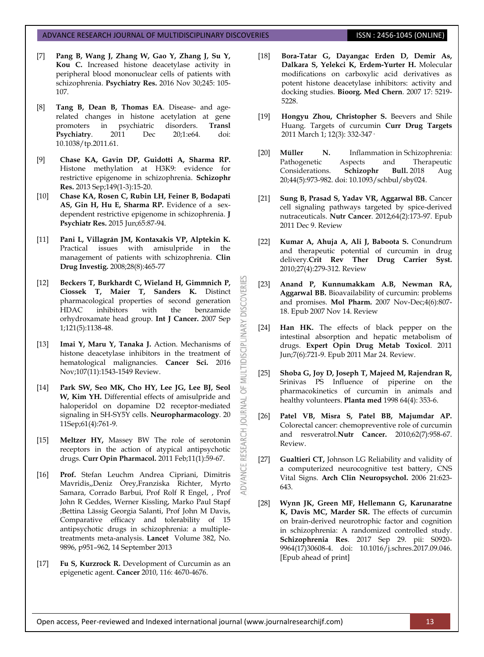- <span id="page-7-0"></span>[7] **Pang B, Wang J, Zhang W, Gao Y, Zhang J, Su Y, Kou C.** Increased histone deacetylase activity in peripheral blood mononuclear cells of patients with schizophrenia. **Psychiatry Res.** 2016 Nov 30;245: 105- 107.
- <span id="page-7-1"></span>[8] **Tang B, Dean B, Thomas EA**. Disease- and agerelated changes in histone acetylation at gene promoters in psychiatric disorders. **Transl Psychiatry**. 2011 Dec 20;1:e64. doi: 10.1038/tp.2011.61.
- <span id="page-7-2"></span>[9] **Chase KA, Gavin DP, Guidotti A, Sharma RP.** Histone methylation at H3K9: evidence for restrictive epigenome in schizophrenia. **Schizophr Res.** 2013 Sep;149(1-3):15-20.
- <span id="page-7-3"></span>[10] **Chase KA, Rosen C, Rubin LH, Feiner B, Bodapati AS, Gin H, Hu E, Sharma RP.** Evidence of a sexdependent restrictive epigenome in schizophrenia. **J Psychiatr Res.** 2015 Jun;65:87-94.
- <span id="page-7-4"></span>[11] **Pani L, Villagrán JM, Kontaxakis VP, Alptekin K.**  Practical issues with amisulpride in the management of patients with schizophrenia. **Clin Drug Investig.** 2008;28(8):465-77
- <span id="page-7-5"></span>[12] **Beckers T, Burkhardt C, Wieland H, Gimmnich P, Ciossek T, Maier T, Sanders K.** Distinct pharmacological properties of second generation HDAC inhibitors with the benzamide orhydroxamate head group. **Int J Cancer.** 2007 Sep 1;121(5):1138-48.

**DISCOVERI** 

LTIDISCIPLINARY

bF

OURNAL

RESEARCH

ADVANCE

- <span id="page-7-6"></span>[13] **Imai Y, Maru Y, Tanaka J.** Action. Mechanisms of histone deacetylase inhibitors in the treatment of hematological malignancies. **Cancer Sci.** 2016 Nov;107(11):1543-1549 Review.
- <span id="page-7-7"></span>[14] **Park SW, Seo MK, Cho HY, Lee JG, Lee BJ, Seol W, Kim YH.** Differential effects of amisulpride and haloperidol on dopamine D2 receptor-mediated signaling in SH-SY5Y cells. **Neuropharmacology**. 20 11Sep;61(4):761-9.
- <span id="page-7-8"></span>[15] **Meltzer HY,** Massey BW The role of serotonin receptors in the action of atypical antipsychotic drugs. **Curr Opin Pharmacol.** 2011 Feb;11(1):59-67.
- <span id="page-7-9"></span>[16] **Prof.** Stefan Leuchm Andrea Cipriani, Dimitris Mavridis,,Deniz Örey,Franziska Richter, Myrto Samara, Corrado Barbui, Prof Rolf R Engel, , Prof John R Geddes, Werner Kissling, Marko Paul Stapf ;Bettina Lässig Georgia Salanti, Prof John M Davis, Comparative efficacy and tolerability of 15 antipsychotic drugs in schizophrenia: a multipletreatments meta-analysis. **Lancet** Volume 382, No. 9896, p951–962, 14 September 2013
- <span id="page-7-10"></span>[17] **Fu S, Kurzrock R.** Development of Curcumin as an epigenetic agent. **Cancer** 2010, 116: 4670-4676.
- <span id="page-7-11"></span>[18] **Bora-Tatar G, Dayangac Erden D, Demir As, Dalkara S, Yelekci K, Erdem-Yurter H.** Molecular modifications on carboxylic acid derivatives as potent histone deacetylase inhibitors: activity and docking studies. **Bioorg. Med Chern**. 2007 17: 5219- 5228.
- <span id="page-7-12"></span>[19] **Hongyu Zhou, Christopher S.** Beevers and Shile Huang. Targets of curcumin **Curr Drug Targets** 2011 March 1; 12(3): 332-347·
- <span id="page-7-13"></span>[20] **[Müller N.](https://www.ncbi.nlm.nih.gov/pubmed/?term=M%C3%BCller%20N%5BAuthor%5D&cauthor=true&cauthor_uid=29648618)** Inflammation in Schizophrenia: Pathogenetic Aspects and Therapeutic Considerations. **[Schizophr Bull.](https://www.ncbi.nlm.nih.gov/pubmed/29648618)** 2018 Aug 20;44(5):973-982. doi: 10.1093/schbul/sby024.
- <span id="page-7-14"></span>[21] **Sung B, Prasad S, Yadav VR, Aggarwal BB.** Cancer cell signaling pathways targeted by spice-derived nutraceuticals. **Nutr Cancer**. 2012;64(2):173-97. Epub 2011 Dec 9. Review
- <span id="page-7-15"></span>[22] **Kumar A, Ahuja A, Ali J, Baboota S.** Conundrum and therapeutic potential of curcumin in drug delivery.**Crit Rev Ther Drug Carrier Syst.** 2010;27(4):279-312. Review
- <span id="page-7-16"></span>[23] **Anand P, Kunnumakkam A.B, Newman RA, Aggarwal BB.** Bioavailability of curcumin: problems and promises. **Mol Pharm.** 2007 Nov-Dec;4(6):807- 18. Epub 2007 Nov 14. Review
- <span id="page-7-17"></span>[24] **Han HK.** The effects of black pepper on the intestinal absorption and hepatic metabolism of drugs. **Expert Opin Drug Metab Toxicol**. 2011 Jun;7(6):721-9. Epub 2011 Mar 24. Review.
- <span id="page-7-18"></span>[25] **Shoba G, Joy D, Joseph T, Majeed M, Rajendran R,**  Srinivas PS Influence of piperine on the pharmacokinetics of curcumin in animals and healthy volunteers. **Planta med** 1998 64(4): 353-6.
- <span id="page-7-19"></span>[26] **Patel VB, Misra S, Patel BB, Majumdar AP.** Colorectal cancer: chemopreventive role of curcumin and resveratrol.**Nutr Cancer.** 2010;62(7):958-67. Review.
- [27] **Gualtieri CT,** Johnson LG Reliability and validity of a computerized neurocognitive test battery, CNS Vital Signs. **Arch Clin Neuropsychol.** 2006 21:623- 643.
- <span id="page-7-20"></span>[28] **Wynn JK, Green MF, Hellemann G, Karunaratne K, Davis MC, Marder SR.** The effects of curcumin on brain-derived neurotrophic factor and cognition in schizophrenia: A randomized controlled study. **Schizophrenia Res**. 2017 Sep 29. pii: S0920- 9964(17)30608-4. doi: 10.1016/j.schres.2017.09.046. [Epub ahead of print]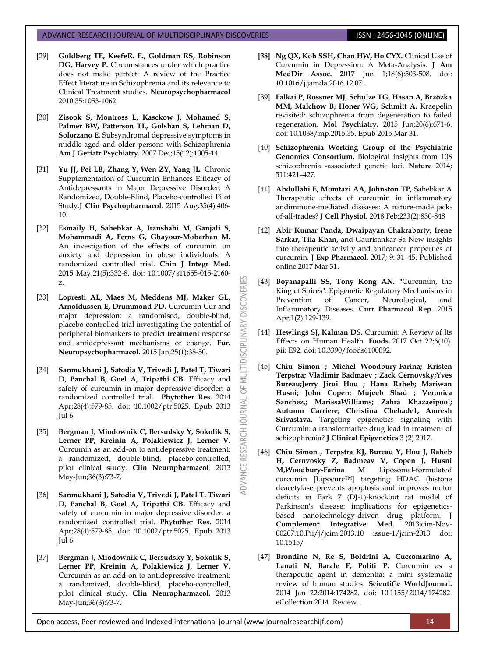- <span id="page-8-0"></span>[29] **Goldberg TE, KeefeR. E., Goldman RS, Robinson**  DG, Harvey P. Circumstances under which practice does not make perfect: A review of the Practice Effect literature in Schizophrenia and its relevance to Clinical Treatment studies. **Neuropsychopharmacol** 2010 35:1053-1062
- <span id="page-8-1"></span>[30] **Zisook S, Montross L, Kasckow J, Mohamed S, Palmer BW, Patterson TL, Golshan S, Lehman D, Solorzano E.** Subsyndromal depressive symptoms in middle-aged and older persons with Schizophrenia **Am J Geriatr Psychiatry.** 2007 Dec;15(12):1005-14.
- <span id="page-8-2"></span>[31] **Yu JJ, Pei LB, Zhang Y, Wen ZY, Yang JL.** Chronic Supplementation of Curcumin Enhances Efficacy of Antidepressants in Major Depressive Disorder: A Randomized, Double-Blind, Placebo-controlled Pilot Study.**J Clin Psychopharmacol**. 2015 Aug;35(4):406- 10.
- <span id="page-8-3"></span>[32] **Esmaily H, Sahebkar A, Iranshahi M, Ganjali S, Mohammadi A, Ferns G, Ghayour-Mobarhan M.** An investigation of the effects of curcumin on anxiety and depression in obese individuals: A randomized controlled trial. **Chin J Integr Med.** 2015 May;21(5):332-8. doi: 10.1007/s11655-015-2160 z.
- <span id="page-8-4"></span>[33] **Lopresti AL, Maes M, Meddens MJ, Maker GL, Arnoldussen E, Drummond PD.** Curcumin Cur and major depression: a randomised, double-blind, placebo-controlled trial investigating the potential of peripheral biomarkers to predict **treatment** response and antidepressant mechanisms of change. **Eur. Neuropsychopharmacol.** 2015 Jan;25(1):38-50.
- <span id="page-8-5"></span>[34] **Sanmukhani J, Satodia V, Trivedi J, Patel T, Tiwari D, Panchal B, Goel A, Tripathi CB.** Efficacy and safety of curcumin in major depressive disorder: a randomized controlled trial. **Phytother Res.** 2014 Apr;28(4):579-85. doi: 10.1002/ptr.5025. Epub 2013 Jul 6
- <span id="page-8-6"></span>[35] **Bergman J, Miodownik C, Bersudsky Y, Sokolik S, Lerner PP, Kreinin A, Polakiewicz J, Lerner V.**  Curcumin as an add-on to antidepressive treatment: a randomized, double-blind, placebo-controlled, pilot clinical study. **Clin Neuropharmacol**. 2013 May-Jun;36(3):73-7.
- <span id="page-8-7"></span>[36] **Sanmukhani J, Satodia V, Trivedi J, Patel T, Tiwari D, Panchal B, Goel A, Tripathi CB.** Efficacy and safety of curcumin in major depressive disorder: a randomized controlled trial. **Phytother Res.** 2014 Apr;28(4):579-85. doi: 10.1002/ptr.5025. Epub 2013 Jul 6
- <span id="page-8-8"></span>[37] **Bergman J, Miodownik C, Bersudsky Y, Sokolik S, Lerner PP, Kreinin A, Polakiewicz J, Lerner V.** Curcumin as an add-on to antidepressive treatment: a randomized, double-blind, placebo-controlled, pilot clinical study. **Clin Neuropharmacol.** 2013 May-Jun;36(3):73-7.
- <span id="page-8-9"></span>**[38] Ng QX, Koh SSH, Chan HW, Ho CYX.** Clinical Use of Curcumin in Depression: A Meta-Analysis. **J Am MedDir Assoc. 2**017 Jun 1;18(6):503-508. doi: 10.1016/j.jamda.2016.12.071.
- <span id="page-8-10"></span>[39] **Falkai P, Rossner MJ, Schulze TG, Hasan A, Brzózka MM, Malchow B, Honer WG, Schmitt A.** Kraepelin revisited: schizophrenia from degeneration to failed regeneration. **Mol Psychiatry.** 2015 Jun;20(6):671-6. doi: 10.1038/mp.2015.35. Epub 2015 Mar 31.
- <span id="page-8-11"></span>[40] **Schizophrenia Working Group of the Psychiatric Genomics Consortium.** Biological insights from 108 schizophrenia -associated genetic loci. **Nature** 2014; 511:421–427.
- <span id="page-8-12"></span>[41] **Abdollahi E, Momtazi AA, Johnston TP,** Sahebkar A Therapeutic effects of curcumin in inflammatory andimmune-mediated diseases: A nature-made jackof-all-trades? **J Cell Physiol.** 2018 Feb;233(2):830-848
- <span id="page-8-13"></span>[42] **Abir Kumar Panda, Dwaipayan Chakraborty, Irene Sarkar, Tila Khan,** and Gaurisankar Sa New insights into therapeutic activity and anticancer properties of curcumin. **J Exp Pharmacol**. 2017; 9: 31–45. Published online 2017 Mar 31.
- <span id="page-8-14"></span>[43] **Boyanapalli SS, Tony Kong AN. "**Curcumin, the King of Spices": Epigenetic Regulatory Mechanisms in Prevention of Cancer, Neurological, and Inflammatory Diseases. **Curr Pharmacol Rep**. 2015 Apr;1(2):129-139.

**DISCOVERI** 

**LTIDISCIPLINARY** 

MUI  $\overline{6}$ 

JOURNAL

ADVANCE RESEARCH

- <span id="page-8-15"></span>[44] **Hewlings SJ, Kalman DS.** Curcumin: A Review of Its Effects on Human Health. **Foods.** 2017 Oct 22;6(10). pii: E92. doi: 10.3390/foods6100092.
- <span id="page-8-16"></span>[45] **Chiu Simon ; Michel Woodbury-Farina; Kristen Terpstra; Vladimir Badmaev ; Zack Cernovsky;Yves Bureau;Jerry Jirui Hou ; Hana Raheb; Mariwan Husni; John Copen; Mujeeb Shad ; Veronica Sanchez,; MarissaWilliams; Zahra Khazaeipool; Autumn Carriere; Christina Chehade1, Amresh Srivastava.** Targeting epigenetics signaling with Curcumin: a transformative drug lead in treatment of schizophrenia? **J Clinical Epigenetics** 3 (2) 2017.
- <span id="page-8-17"></span>[46] **Chiu Simon , Terpstra KJ, Bureau Y, Hou J, Raheb H, Cernvosky Z, Badmeav V, Copen J, Husni M,Woodbury-Farina M** Liposomal-formulated curcumin [Lipocurc™] targeting HDAC (histone deacetylase prevents apoptosis and improves motor deficits in Park 7 (DJ-1)-knockout rat model of Parkinson's disease: implications for epigeneticsbased nanotechnology-driven drug platform. **J Complement Integrative Med.** 2013jcim-Nov-00207.10.Pii/j/jcim.2013.10 issue-1/jcim-2013 doi: 10.1515/
- <span id="page-8-18"></span>[47] **Brondino N, Re S, Boldrini A, Cuccomarino A, Lanati N, Barale F, Politi P.** Curcumin as a therapeutic agent in dementia: a mini systematic review of human studies. **Scientific WorldJournal.** 2014 Jan 22;2014:174282. doi: 10.1155/2014/174282. eCollection 2014. Review.

Open access, Peer-reviewed and Indexed international journal (www.journalresearchijf.com) 14